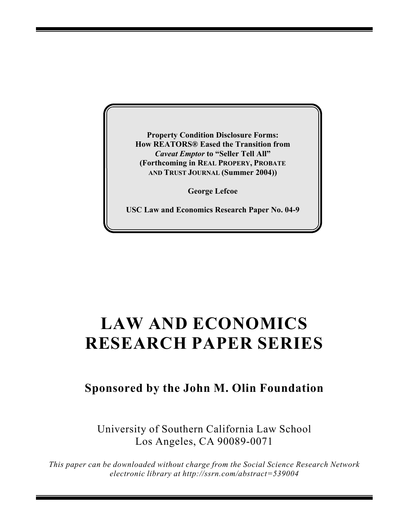**Property Condition Disclosure Forms: How REATORS® Eased the Transition from** *Caveat Emptor* **to "Seller Tell All" (Forthcoming in REAL PROPERY, PROBATE AND TRUST JOURNAL (Summer 2004))**

**George Lefcoe**

**USC Law and Economics Research Paper No. 04-9**

## **LAW AND ECONOMICS RESEARCH PAPER SERIES**

## **Sponsored by the John M. Olin Foundation**

University of Southern California Law School Los Angeles, CA 90089-0071

*This paper can be downloaded without charge from the Social Science Research Network electronic library at http://ssrn.com/abstract=539004*